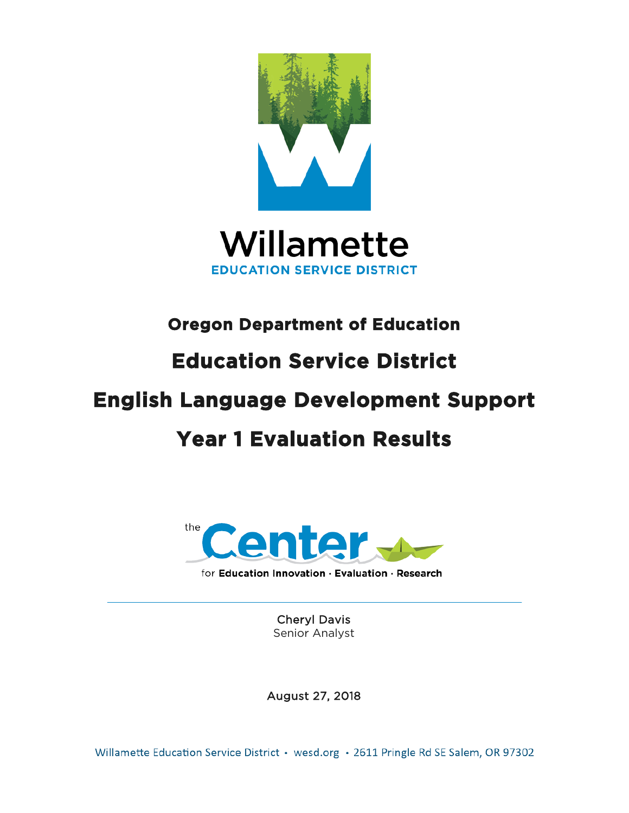



# **Oregon Department of Education**

# **Education Service District**

# **English Language Development Support**

# **Year 1 Evaluation Results**



Cheryl Davis Senior Analyst

August 27, 2018

Willamette Education Service District • wesd.org • 2611 Pringle Rd SE Salem, OR 97302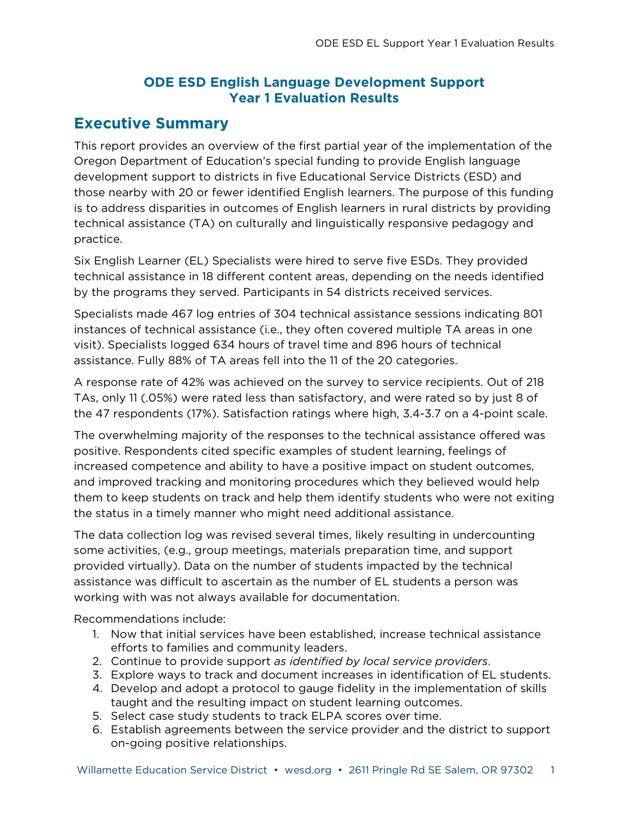### **ODE ESD English Language Development Support Year 1 Evaluation Results**

### **Executive Summary**

This report provides an overview of the first partial year of the implementation of the Oregon Department of Education's special funding to provide English language development support to districts in five Educational Service Districts (ESD) and those nearby with 20 or fewer identified English learners. The purpose of this funding is to address disparities in outcomes of English learners in rural districts by providing technical assistance (TA) on culturally and linguistically responsive pedagogy and practice.

Six English Learner (EL) Specialists were hired to serve five ESDs. They provided technical assistance in 18 different content areas, depending on the needs identified by the programs they served. Participants in 54 districts received services.

Specialists made 467 log entries of 304 technical assistance sessions indicating 801 instances of technical assistance (i.e., they often covered multiple TA areas in one visit). Specialists logged 634 hours of travel time and 896 hours of technical assistance. Fully 88% of TA areas fell into the 11 of the 20 categories.

A response rate of 42% was achieved on the survey to service recipients. Out of 218 TAs, only 11 (.05%) were rated less than satisfactory, and were rated so by just 8 of the 47 respondents (17%). Satisfaction ratings where high, 3.4-3.7 on a 4-point scale.

The overwhelming majority of the responses to the technical assistance offered was positive. Respondents cited specific examples of student learning, feelings of increased competence and ability to have a positive impact on student outcomes, and improved tracking and monitoring procedures which they believed would help them to keep students on track and help them identify students who were not exiting the status in a timely manner who might need additional assistance.

The data collection log was revised several times, likely resulting in undercounting some activities, (e.g., group meetings, materials preparation time, and support provided virtually). Data on the number of students impacted by the technical assistance was difficult to ascertain as the number of EL students a person was working with was not always available for documentation.

Recommendations include:

- 1. Now that initial services have been established, increase technical assistance efforts to families and community leaders.
- 2. Continue to provide support *as identified by local service providers*.
- 3. Explore ways to track and document increases in identification of EL students.
- 4. Develop and adopt a protocol to gauge fidelity in the implementation of skills taught and the resulting impact on student learning outcomes.
- 5. Select case study students to track ELPA scores over time.
- 6. Establish agreements between the service provider and the district to support on-going positive relationships.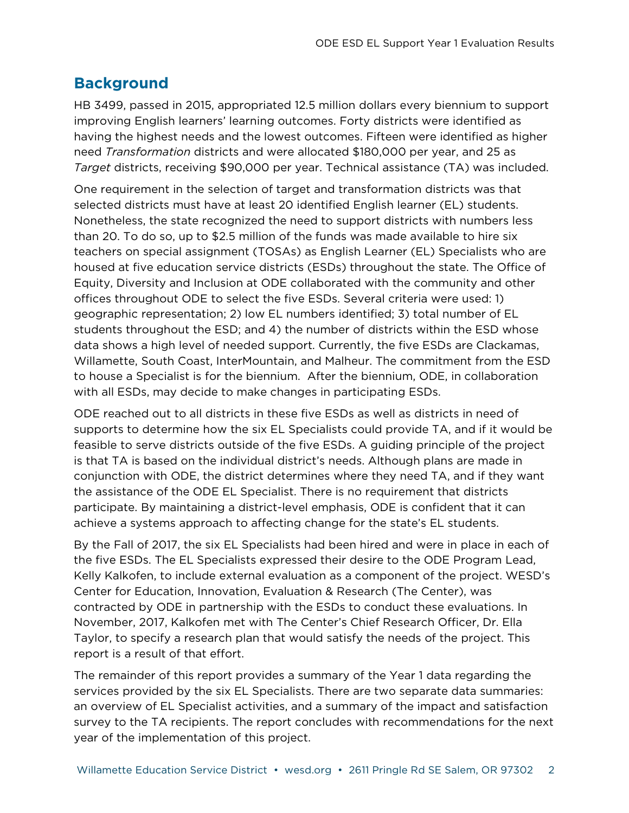## **Background**

HB 3499, passed in 2015, appropriated 12.5 million dollars every biennium to support improving English learners' learning outcomes. Forty districts were identified as having the highest needs and the lowest outcomes. Fifteen were identified as higher need *Transformation* districts and were allocated \$180,000 per year, and 25 as *Target* districts, receiving \$90,000 per year. Technical assistance (TA) was included.

One requirement in the selection of target and transformation districts was that selected districts must have at least 20 identified English learner (EL) students. Nonetheless, the state recognized the need to support districts with numbers less than 20. To do so, up to \$2.5 million of the funds was made available to hire six teachers on special assignment (TOSAs) as English Learner (EL) Specialists who are housed at five education service districts (ESDs) throughout the state. The Office of Equity, Diversity and Inclusion at ODE collaborated with the community and other offices throughout ODE to select the five ESDs. Several criteria were used: 1) geographic representation; 2) low EL numbers identified; 3) total number of EL students throughout the ESD; and 4) the number of districts within the ESD whose data shows a high level of needed support. Currently, the five ESDs are Clackamas, Willamette, South Coast, InterMountain, and Malheur. The commitment from the ESD to house a Specialist is for the biennium. After the biennium, ODE, in collaboration with all ESDs, may decide to make changes in participating ESDs.

ODE reached out to all districts in these five ESDs as well as districts in need of supports to determine how the six EL Specialists could provide TA, and if it would be feasible to serve districts outside of the five ESDs. A guiding principle of the project is that TA is based on the individual district's needs. Although plans are made in conjunction with ODE, the district determines where they need TA, and if they want the assistance of the ODE EL Specialist. There is no requirement that districts participate. By maintaining a district-level emphasis, ODE is confident that it can achieve a systems approach to affecting change for the state's EL students.

By the Fall of 2017, the six EL Specialists had been hired and were in place in each of the five ESDs. The EL Specialists expressed their desire to the ODE Program Lead, Kelly Kalkofen, to include external evaluation as a component of the project. WESD's Center for Education, Innovation, Evaluation & Research (The Center), was contracted by ODE in partnership with the ESDs to conduct these evaluations. In November, 2017, Kalkofen met with The Center's Chief Research Officer, Dr. Ella Taylor, to specify a research plan that would satisfy the needs of the project. This report is a result of that effort.

The remainder of this report provides a summary of the Year 1 data regarding the services provided by the six EL Specialists. There are two separate data summaries: an overview of EL Specialist activities, and a summary of the impact and satisfaction survey to the TA recipients. The report concludes with recommendations for the next year of the implementation of this project.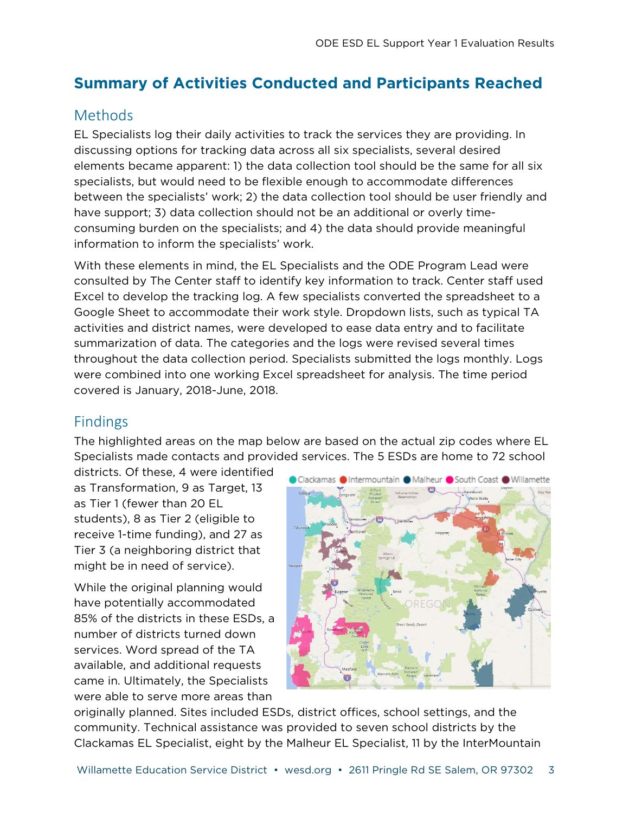# **Summary of Activities Conducted and Participants Reached**

# Methods

EL Specialists log their daily activities to track the services they are providing. In discussing options for tracking data across all six specialists, several desired elements became apparent: 1) the data collection tool should be the same for all six specialists, but would need to be flexible enough to accommodate differences between the specialists' work; 2) the data collection tool should be user friendly and have support; 3) data collection should not be an additional or overly timeconsuming burden on the specialists; and 4) the data should provide meaningful information to inform the specialists' work.

With these elements in mind, the EL Specialists and the ODE Program Lead were consulted by The Center staff to identify key information to track. Center staff used Excel to develop the tracking log. A few specialists converted the spreadsheet to a Google Sheet to accommodate their work style. Dropdown lists, such as typical TA activities and district names, were developed to ease data entry and to facilitate summarization of data. The categories and the logs were revised several times throughout the data collection period. Specialists submitted the logs monthly. Logs were combined into one working Excel spreadsheet for analysis. The time period covered is January, 2018-June, 2018.

## Findings

The highlighted areas on the map below are based on the actual zip codes where EL Specialists made contacts and provided services. The 5 ESDs are home to 72 school

districts. Of these, 4 were identified as Transformation, 9 as Target, 13 as Tier 1 (fewer than 20 EL students), 8 as Tier 2 (eligible to receive 1-time funding), and 27 as Tier 3 (a neighboring district that might be in need of service).

While the original planning would have potentially accommodated 85% of the districts in these ESDs, a number of districts turned down services. Word spread of the TA available, and additional requests came in. Ultimately, the Specialists were able to serve more areas than



originally planned. Sites included ESDs, district offices, school settings, and the community. Technical assistance was provided to seven school districts by the Clackamas EL Specialist, eight by the Malheur EL Specialist, 11 by the InterMountain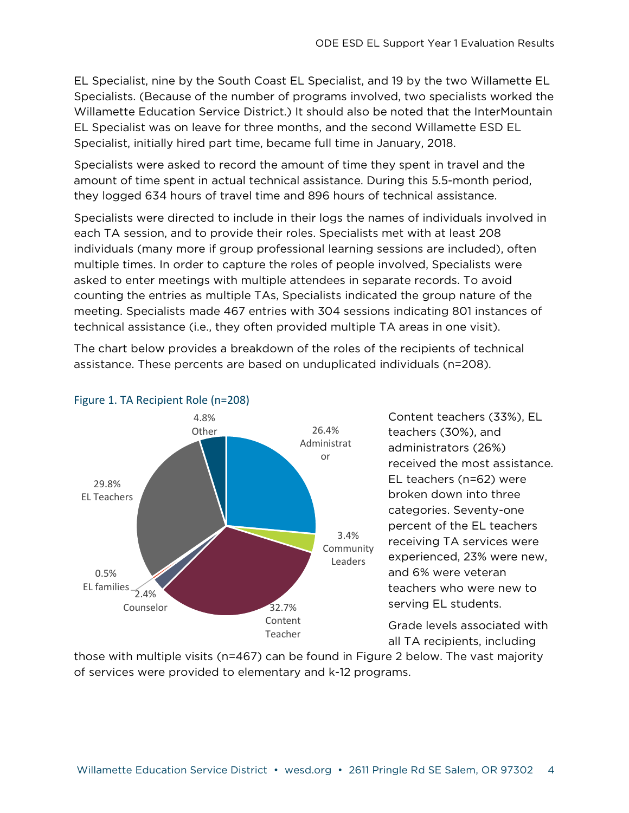EL Specialist, nine by the South Coast EL Specialist, and 19 by the two Willamette EL Specialists. (Because of the number of programs involved, two specialists worked the Willamette Education Service District.) It should also be noted that the InterMountain EL Specialist was on leave for three months, and the second Willamette ESD EL Specialist, initially hired part time, became full time in January, 2018.

Specialists were asked to record the amount of time they spent in travel and the amount of time spent in actual technical assistance. During this 5.5-month period, they logged 634 hours of travel time and 896 hours of technical assistance.

Specialists were directed to include in their logs the names of individuals involved in each TA session, and to provide their roles. Specialists met with at least 208 individuals (many more if group professional learning sessions are included), often multiple times. In order to capture the roles of people involved, Specialists were asked to enter meetings with multiple attendees in separate records. To avoid counting the entries as multiple TAs, Specialists indicated the group nature of the meeting. Specialists made 467 entries with 304 sessions indicating 801 instances of technical assistance (i.e., they often provided multiple TA areas in one visit).

The chart below provides a breakdown of the roles of the recipients of technical assistance. These percents are based on unduplicated individuals (n=208).



Content teachers (33%), EL teachers (30%), and administrators (26%) received the most assistance. EL teachers (n=62) were broken down into three categories. Seventy-one percent of the EL teachers receiving TA services were experienced, 23% were new, and 6% were veteran teachers who were new to serving EL students.

Grade levels associated with all TA recipients, including

those with multiple visits (n=467) can be found in Figure 2 below. The vast majority of services were provided to elementary and k-12 programs.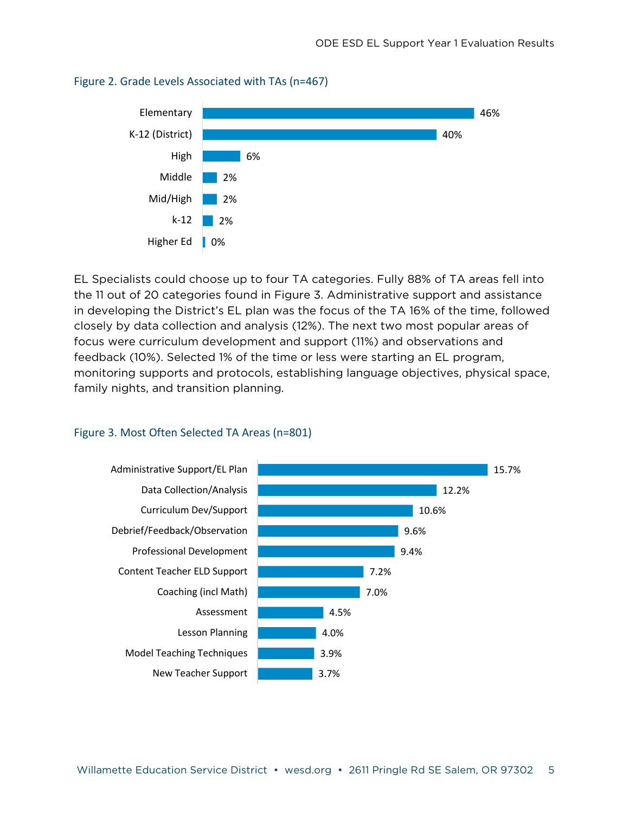

#### Figure 2. Grade Levels Associated with TAs (n=467)

EL Specialists could choose up to four TA categories. Fully 88% of TA areas fell into the 11 out of 20 categories found in Figure 3. Administrative support and assistance in developing the District's EL plan was the focus of the TA 16% of the time, followed closely by data collection and analysis (12%). The next two most popular areas of focus were curriculum development and support (11%) and observations and feedback (10%). Selected 1% of the time or less were starting an EL program, monitoring supports and protocols, establishing language objectives, physical space, family nights, and transition planning.

#### Figure 3. Most Often Selected TA Areas (n=801)

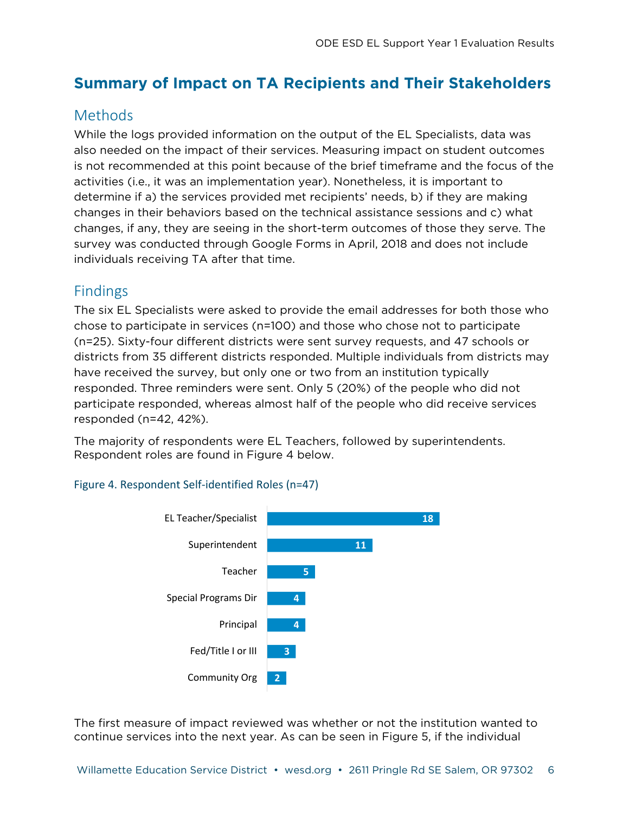# **Summary of Impact on TA Recipients and Their Stakeholders**

# Methods

While the logs provided information on the output of the EL Specialists, data was also needed on the impact of their services. Measuring impact on student outcomes is not recommended at this point because of the brief timeframe and the focus of the activities (i.e., it was an implementation year). Nonetheless, it is important to determine if a) the services provided met recipients' needs, b) if they are making changes in their behaviors based on the technical assistance sessions and c) what changes, if any, they are seeing in the short-term outcomes of those they serve. The survey was conducted through Google Forms in April, 2018 and does not include individuals receiving TA after that time.

## Findings

The six EL Specialists were asked to provide the email addresses for both those who chose to participate in services (n=100) and those who chose not to participate (n=25). Sixty-four different districts were sent survey requests, and 47 schools or districts from 35 different districts responded. Multiple individuals from districts may have received the survey, but only one or two from an institution typically responded. Three reminders were sent. Only 5 (20%) of the people who did not participate responded, whereas almost half of the people who did receive services responded (n=42, 42%).

The majority of respondents were EL Teachers, followed by superintendents. Respondent roles are found in Figure 4 below.

#### Figure 4. Respondent Self-identified Roles (n=47)



The first measure of impact reviewed was whether or not the institution wanted to continue services into the next year. As can be seen in Figure 5, if the individual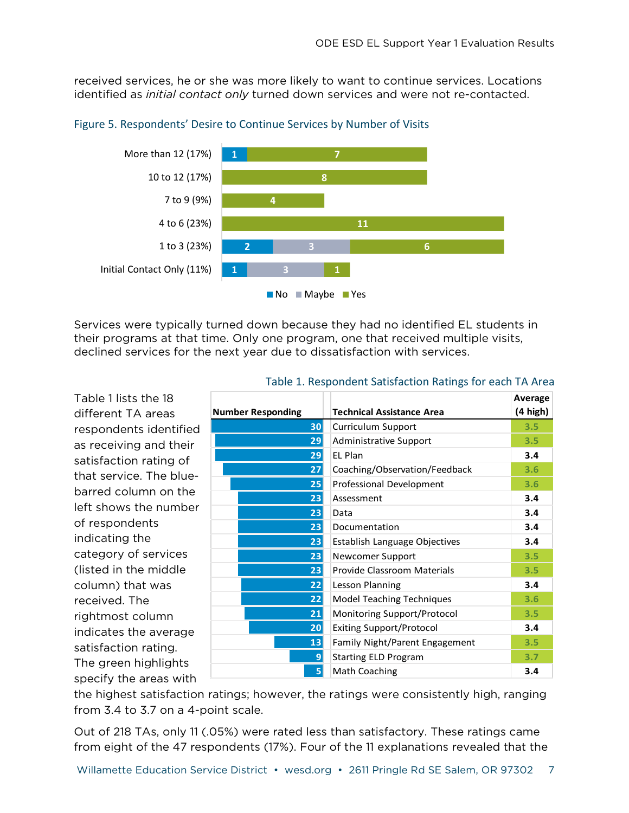received services, he or she was more likely to want to continue services. Locations identified as *initial contact only* turned down services and were not re-contacted.



#### Figure 5. Respondents' Desire to Continue Services by Number of Visits

Services were typically turned down because they had no identified EL students in their programs at that time. Only one program, one that received multiple visits, declined services for the next year due to dissatisfaction with services.

Table 1 lists the 18 different TA areas respondents identified as receiving and their satisfaction rating of that service. The bluebarred column on the left shows the number of respondents indicating the category of services (listed in the middle column) that was received. The rightmost column indicates the average satisfaction rating. The green highlights specify the areas with

|                          |                                              | Average  |
|--------------------------|----------------------------------------------|----------|
| <b>Number Responding</b> | <b>Technical Assistance Area</b>             | (4 high) |
| 30                       | Curriculum Support                           | 3.5      |
| 29                       | 3.5<br><b>Administrative Support</b>         |          |
| 29 <sub>1</sub>          | FI Plan<br>3.4                               |          |
| 27 <sup>1</sup>          | Coaching/Observation/Feedback<br>3.6         |          |
| 25                       | Professional Development<br>3.6              |          |
| 23                       | 3.4<br>Assessment                            |          |
| 23                       | 3.4<br>Data                                  |          |
| 23                       | Documentation<br>3.4                         |          |
| 23                       | 3.4<br>Establish Language Objectives         |          |
| 23                       | 3.5<br>Newcomer Support                      |          |
| 23                       | Provide Classroom Materials<br>3.5           |          |
| 22                       | 3.4<br>Lesson Planning                       |          |
| 22                       | <b>Model Teaching Techniques</b><br>3.6      |          |
| 21                       | Monitoring Support/Protocol<br>3.5           |          |
| 20 <sub>1</sub>          | <b>Exiting Support/Protocol</b><br>3.4       |          |
| 13 <sup>1</sup>          | <b>Family Night/Parent Engagement</b><br>3.5 |          |
| 9                        | <b>Starting ELD Program</b><br>3.7           |          |
| 5                        | <b>Math Coaching</b>                         | 3.4      |

#### Table 1. Respondent Satisfaction Ratings for each TA Area

the highest satisfaction ratings; however, the ratings were consistently high, ranging from 3.4 to 3.7 on a 4-point scale.

Out of 218 TAs, only 11 (.05%) were rated less than satisfactory. These ratings came from eight of the 47 respondents (17%). Four of the 11 explanations revealed that the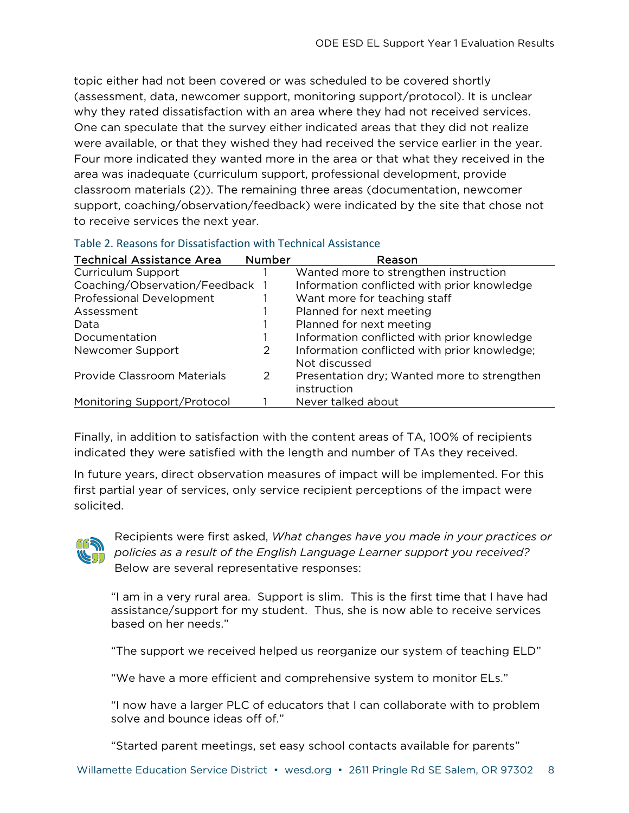topic either had not been covered or was scheduled to be covered shortly (assessment, data, newcomer support, monitoring support/protocol). It is unclear why they rated dissatisfaction with an area where they had not received services. One can speculate that the survey either indicated areas that they did not realize were available, or that they wished they had received the service earlier in the year. Four more indicated they wanted more in the area or that what they received in the area was inadequate (curriculum support, professional development, provide classroom materials (2)). The remaining three areas (documentation, newcomer support, coaching/observation/feedback) were indicated by the site that chose not to receive services the next year.

| <b>Technical Assistance Area</b> | <b>Number</b> | Reason                                       |
|----------------------------------|---------------|----------------------------------------------|
| Curriculum Support               |               | Wanted more to strengthen instruction        |
| Coaching/Observation/Feedback 1  |               | Information conflicted with prior knowledge  |
| <b>Professional Development</b>  |               | Want more for teaching staff                 |
| Assessment                       |               | Planned for next meeting                     |
| Data                             |               | Planned for next meeting                     |
| Documentation                    |               | Information conflicted with prior knowledge  |
| Newcomer Support                 | 2             | Information conflicted with prior knowledge; |
|                                  |               | Not discussed                                |
| Provide Classroom Materials      | 2             | Presentation dry; Wanted more to strengthen  |
|                                  |               | instruction                                  |
| Monitoring Support/Protocol      |               | Never talked about                           |

#### Table 2. Reasons for Dissatisfaction with Technical Assistance

Finally, in addition to satisfaction with the content areas of TA, 100% of recipients indicated they were satisfied with the length and number of TAs they received.

In future years, direct observation measures of impact will be implemented. For this first partial year of services, only service recipient perceptions of the impact were solicited.



Recipients were first asked, *What changes have you made in your practices or policies as a result of the English Language Learner support you received?* Below are several representative responses:

"I am in a very rural area. Support is slim. This is the first time that I have had assistance/support for my student. Thus, she is now able to receive services based on her needs."

"The support we received helped us reorganize our system of teaching ELD"

"We have a more efficient and comprehensive system to monitor ELs."

"I now have a larger PLC of educators that I can collaborate with to problem solve and bounce ideas off of."

"Started parent meetings, set easy school contacts available for parents"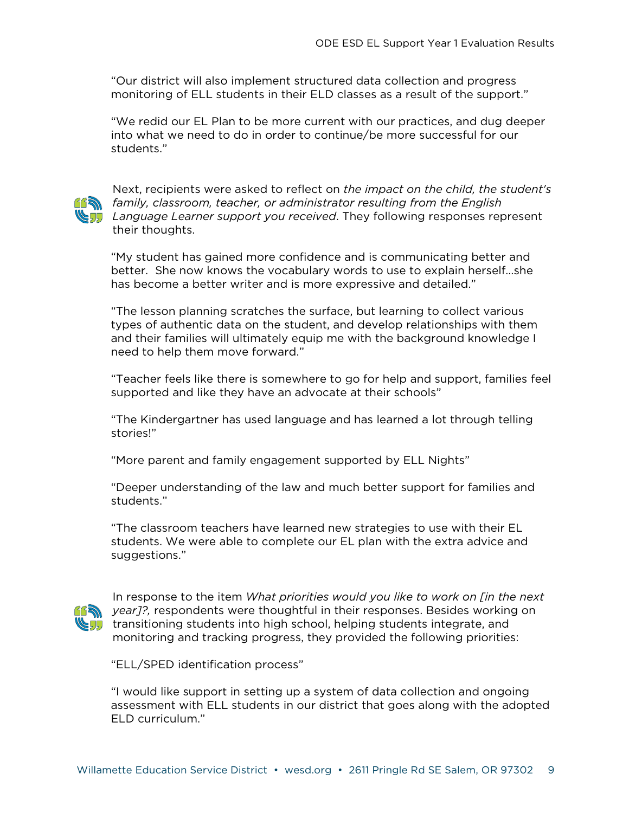"Our district will also implement structured data collection and progress monitoring of ELL students in their ELD classes as a result of the support."

"We redid our EL Plan to be more current with our practices, and dug deeper into what we need to do in order to continue/be more successful for our students."



Next, recipients were asked to reflect on *the impact on the child, the student's*  family, classroom, teacher, or administrator resulting from the English **Language Learner support you received. They following responses represent** their thoughts.

"My student has gained more confidence and is communicating better and better. She now knows the vocabulary words to use to explain herself…she has become a better writer and is more expressive and detailed."

"The lesson planning scratches the surface, but learning to collect various types of authentic data on the student, and develop relationships with them and their families will ultimately equip me with the background knowledge I need to help them move forward."

"Teacher feels like there is somewhere to go for help and support, families feel supported and like they have an advocate at their schools"

"The Kindergartner has used language and has learned a lot through telling stories!"

"More parent and family engagement supported by ELL Nights"

"Deeper understanding of the law and much better support for families and students."

"The classroom teachers have learned new strategies to use with their EL students. We were able to complete our EL plan with the extra advice and suggestions."



In response to the item *What priorities would you like to work on [in the next year]?,* respondents were thoughtful in their responses. Besides working on **the students into high school, helping students integrate, and Students integrate** monitoring and tracking progress, they provided the following priorities:

"ELL/SPED identification process"

"I would like support in setting up a system of data collection and ongoing assessment with ELL students in our district that goes along with the adopted ELD curriculum."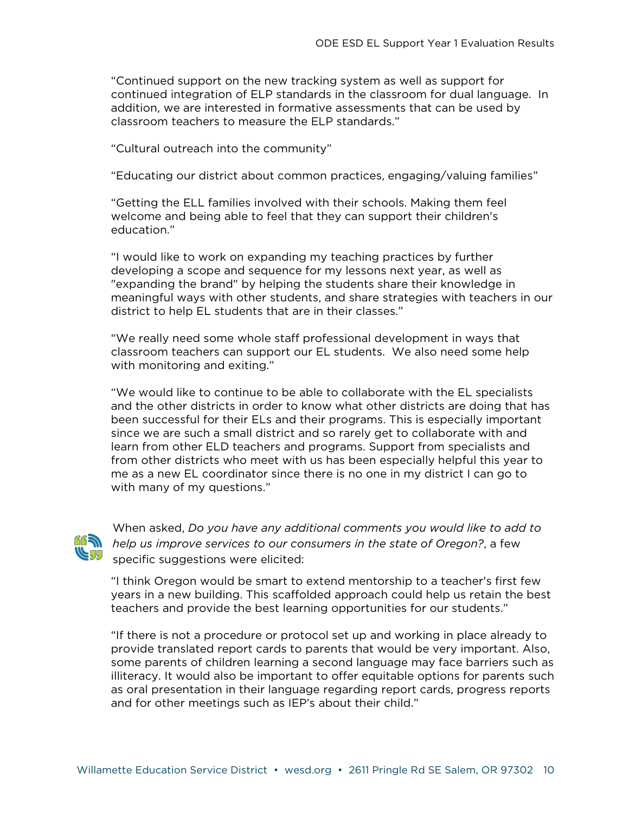"Continued support on the new tracking system as well as support for continued integration of ELP standards in the classroom for dual language. In addition, we are interested in formative assessments that can be used by classroom teachers to measure the ELP standards."

"Cultural outreach into the community"

"Educating our district about common practices, engaging/valuing families"

"Getting the ELL families involved with their schools. Making them feel welcome and being able to feel that they can support their children's education."

"I would like to work on expanding my teaching practices by further developing a scope and sequence for my lessons next year, as well as "expanding the brand" by helping the students share their knowledge in meaningful ways with other students, and share strategies with teachers in our district to help EL students that are in their classes."

"We really need some whole staff professional development in ways that classroom teachers can support our EL students. We also need some help with monitoring and exiting."

"We would like to continue to be able to collaborate with the EL specialists and the other districts in order to know what other districts are doing that has been successful for their ELs and their programs. This is especially important since we are such a small district and so rarely get to collaborate with and learn from other ELD teachers and programs. Support from specialists and from other districts who meet with us has been especially helpful this year to me as a new EL coordinator since there is no one in my district I can go to with many of my questions."



When asked, *Do you have any additional comments you would like to add to help us improve services to our consumers in the state of Oregon?*, a few specific suggestions were elicited:

"I think Oregon would be smart to extend mentorship to a teacher's first few years in a new building. This scaffolded approach could help us retain the best teachers and provide the best learning opportunities for our students."

"If there is not a procedure or protocol set up and working in place already to provide translated report cards to parents that would be very important. Also, some parents of children learning a second language may face barriers such as illiteracy. It would also be important to offer equitable options for parents such as oral presentation in their language regarding report cards, progress reports and for other meetings such as IEP's about their child."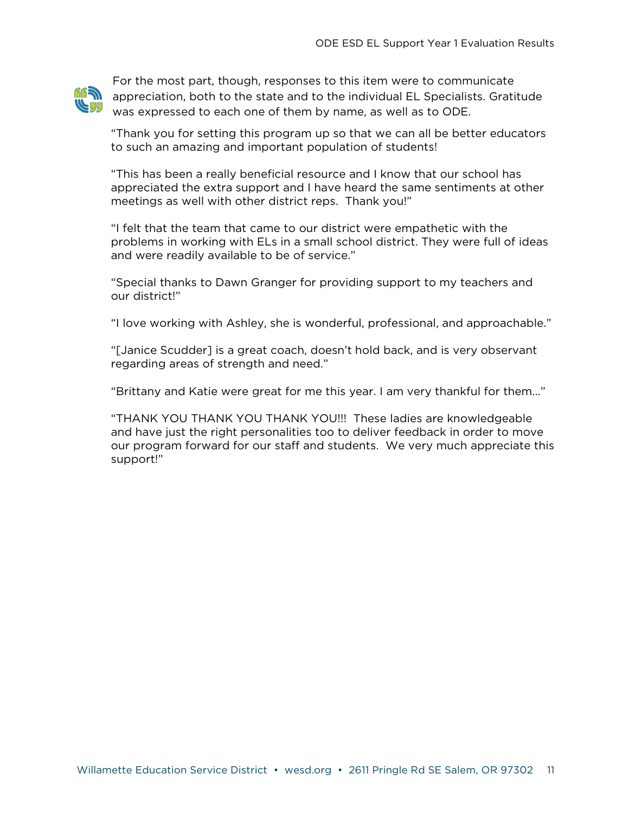

For the most part, though, responses to this item were to communicate A appreciation, both to the state and to the individual EL Specialists. Gratitude was expressed to each one of them by name, as well as to ODE.

"Thank you for setting this program up so that we can all be better educators to such an amazing and important population of students!

"This has been a really beneficial resource and I know that our school has appreciated the extra support and I have heard the same sentiments at other meetings as well with other district reps. Thank you!"

"I felt that the team that came to our district were empathetic with the problems in working with ELs in a small school district. They were full of ideas and were readily available to be of service."

"Special thanks to Dawn Granger for providing support to my teachers and our district!"

"I love working with Ashley, she is wonderful, professional, and approachable."

"[Janice Scudder] is a great coach, doesn't hold back, and is very observant regarding areas of strength and need."

"Brittany and Katie were great for me this year. I am very thankful for them…"

"THANK YOU THANK YOU THANK YOU!!! These ladies are knowledgeable and have just the right personalities too to deliver feedback in order to move our program forward for our staff and students. We very much appreciate this support!"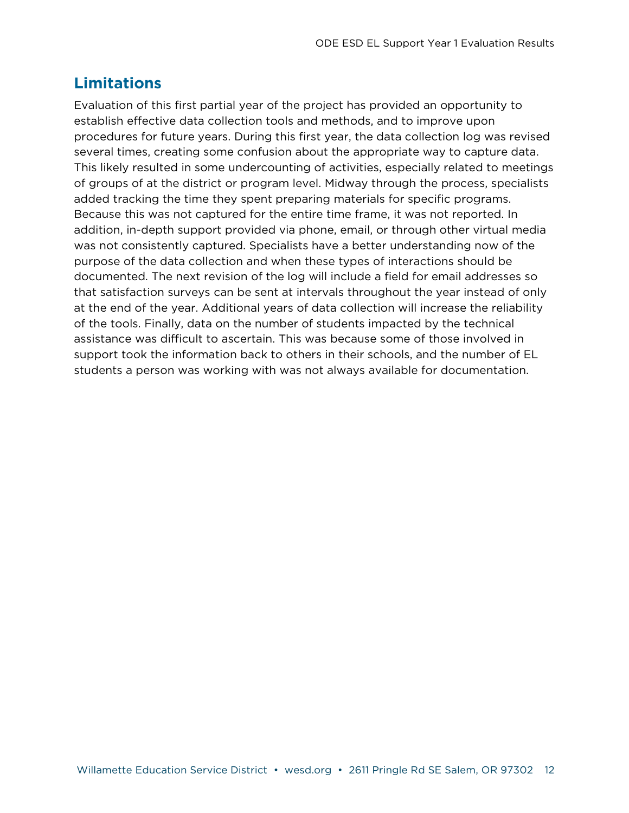# **Limitations**

Evaluation of this first partial year of the project has provided an opportunity to establish effective data collection tools and methods, and to improve upon procedures for future years. During this first year, the data collection log was revised several times, creating some confusion about the appropriate way to capture data. This likely resulted in some undercounting of activities, especially related to meetings of groups of at the district or program level. Midway through the process, specialists added tracking the time they spent preparing materials for specific programs. Because this was not captured for the entire time frame, it was not reported. In addition, in-depth support provided via phone, email, or through other virtual media was not consistently captured. Specialists have a better understanding now of the purpose of the data collection and when these types of interactions should be documented. The next revision of the log will include a field for email addresses so that satisfaction surveys can be sent at intervals throughout the year instead of only at the end of the year. Additional years of data collection will increase the reliability of the tools. Finally, data on the number of students impacted by the technical assistance was difficult to ascertain. This was because some of those involved in support took the information back to others in their schools, and the number of EL students a person was working with was not always available for documentation.